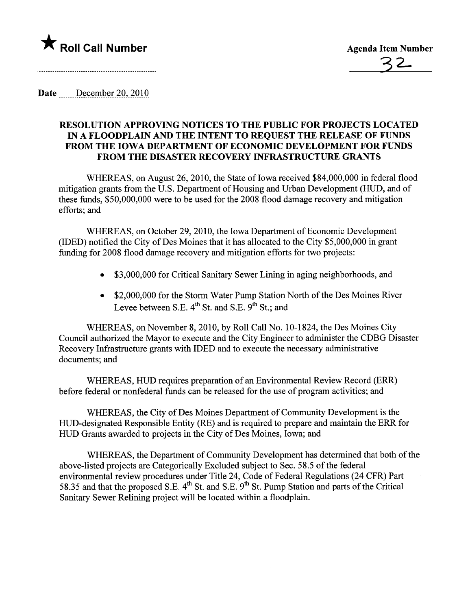

32-

Date December 20, 2010

## RESOLUTION APPROVING NOTICES TO THE PUBLIC FOR PROJECTS LOCATED IN A FLOODPLAIN AND THE INTENT TO REQUEST THE RELEASE OF FUNDS FROM THE IOWA DEPARTMENT OF ECONOMIC DEVELOPMENT FOR FUNDS FROM THE DISASTER RECOVERY INFRASTRUCTURE GRANTS

WHEREAS, on August 26, 2010, the State of Iowa received \$84,000,000 in federal flood mitigation grants from the U.S. Department of Housing and Urban Development (HUD, and of these funds, \$50,000,000 were to be used for the 2008 flood damage recovery and mitigation efforts; and

WHEREAS, on October 29,2010, the Iowa Department of Economic Development (IDED) notified the City of Des Moines that it has allocated to the City \$5,000,000 in grant funding for 2008 flood damage recovery and mitigation efforts for two projects:

- . \$3,000,000 for Critical Sanitary Sewer Lining in aging neighborhoods, and
- . \$2,000,000 for the Storm Water Pump Station North of the Des Moines River Levee between S.E.  $4^{th}$  St. and S.E.  $9^{th}$  St.; and

WHEREAS, on November 8, 2010, by Roll Call No. 10-1824, the Des Moines City Council authorized the Mayor to execute and the City Engineer to administer the CDBG Disaster Recovery Infrastructure grants with IDED and to execute the necessary administrative documents; and

WHEREAS, HUD requires preparation of an Environmental Review Record (ERR) before federal or nonfederal funds can be released for the use of program activities; and

WHEREAS, the City of Des Moines Deparment of Community Development is the HUD-designated Responsible Entity (RE) and is required to prepare and maintain the ERR for HUD Grants awarded to projects in the City of Des Moines, Iowa; and

WHEREAS, the Department of Community Development has determined that both of the above-listed projects are Categorically Excluded subject to Sec. 58.5 of the federal environmental review procedures under Title 24, Code of Federal Regulations (24 CFR) Part 58.35 and that the proposed S.E. 4<sup>th</sup> St. and S.E. 9<sup>th</sup> St. Pump Station and parts of the Critical Sanitary Sewer Relining project will be located within a floodplain.

 $\ddot{\phantom{a}}$